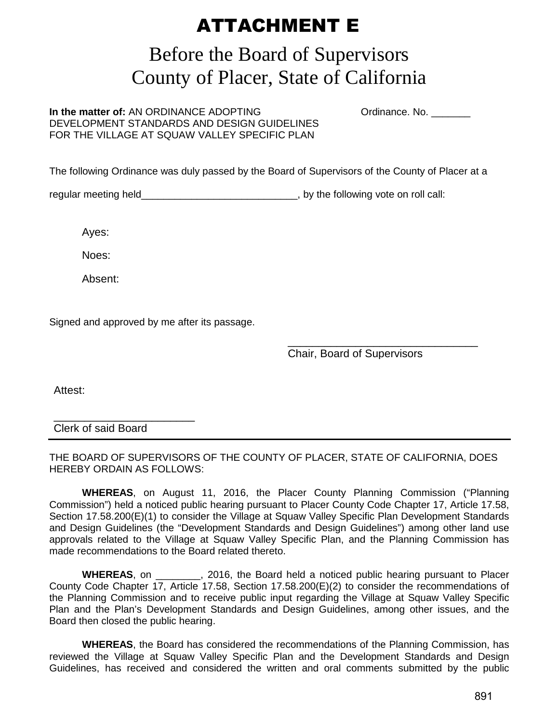## ATTACHMENT E

## Before the Board of Supervisors County of Placer, State of California

**In the matter of:** AN ORDINANCE ADOPTING **CONSERVING** Ordinance. No. DEVELOPMENT STANDARDS AND DESIGN GUIDELINES FOR THE VILLAGE AT SQUAW VALLEY SPECIFIC PLAN

The following Ordinance was duly passed by the Board of Supervisors of the County of Placer at a

regular meeting held\_\_\_\_\_\_\_\_\_\_\_\_\_\_\_\_\_\_\_\_\_\_\_\_\_\_\_\_\_\_\_\_, by the following vote on roll call:

Ayes:

Noes:

Absent:

Signed and approved by me after its passage.

\_\_\_\_\_\_\_\_\_\_\_\_\_\_\_\_\_\_\_\_\_\_\_\_\_\_\_\_\_\_\_ Chair, Board of Supervisors

Attest:

Clerk of said Board

\_\_\_\_\_\_\_\_\_\_\_\_\_\_\_\_\_\_\_\_\_\_\_

THE BOARD OF SUPERVISORS OF THE COUNTY OF PLACER, STATE OF CALIFORNIA, DOES HEREBY ORDAIN AS FOLLOWS:

**WHEREAS**, on August 11, 2016, the Placer County Planning Commission ("Planning Commission") held a noticed public hearing pursuant to Placer County Code Chapter 17, Article 17.58, Section 17.58.200(E)(1) to consider the Village at Squaw Valley Specific Plan Development Standards and Design Guidelines (the "Development Standards and Design Guidelines") among other land use approvals related to the Village at Squaw Valley Specific Plan, and the Planning Commission has made recommendations to the Board related thereto.

**WHEREAS**, on \_\_\_\_\_\_\_\_, 2016, the Board held a noticed public hearing pursuant to Placer County Code Chapter 17, Article 17.58, Section 17.58.200(E)(2) to consider the recommendations of the Planning Commission and to receive public input regarding the Village at Squaw Valley Specific Plan and the Plan's Development Standards and Design Guidelines, among other issues, and the Board then closed the public hearing.

**WHEREAS**, the Board has considered the recommendations of the Planning Commission, has reviewed the Village at Squaw Valley Specific Plan and the Development Standards and Design Guidelines, has received and considered the written and oral comments submitted by the public